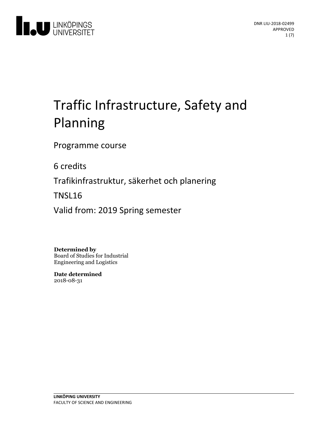

# Traffic Infrastructure, Safety and Planning

Programme course

6 credits

Trafikinfrastruktur, säkerhet och planering

TNSL16

Valid from: 2019 Spring semester

**Determined by**

Board of Studies for Industrial Engineering and Logistics

**Date determined** 2018-08-31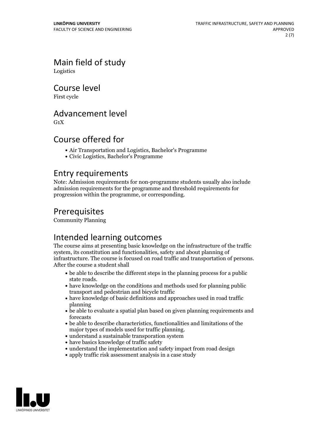Main field of study

Logistics

Course level

First cycle

### Advancement level

 $G_1X$ 

# Course offered for

- Air Transportation and Logistics, Bachelor's Programme
- Civic Logistics, Bachelor's Programme

### Entry requirements

Note: Admission requirements for non-programme students usually also include admission requirements for the programme and threshold requirements for progression within the programme, or corresponding.

# Prerequisites

Community Planning

# Intended learning outcomes

The course aims at presenting basic knowledge on the infrastructure of the traffic system, its constitution and functionalities, safety and about planning of infrastructure. The course is focused on road traffic and transportation of persons. After the course <sup>a</sup> student shall

- be able to describe the different steps in the planning process for a public state roads.<br>• have knowledge on the conditions and methods used for planning public
- transport and pedestrian and bicycle traffic
- have knowledge of basic definitions and approaches used in road traffic planning
- be able to evaluate a spatial plan based on given planning requirements and forecasts
- be able to describe characteristics, functionalities and limitations of the
- $\bullet$  understand a sustainable transporation system
- have basics knowledge of traffic safety
- understand the implementation and safety impact from road design
- apply traffic risk assessment analysis in a case study

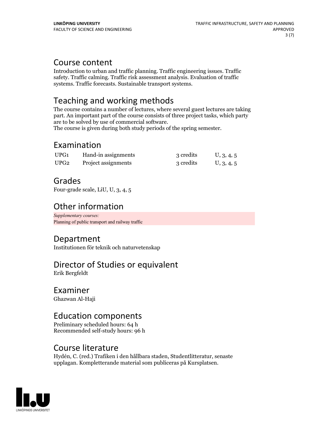### Course content

Introduction to urban and traffic planning. Traffic engineering issues. Traffic safety. Traffic calming. Traffic risk assessment analysis. Evaluation of traffic systems. Traffic forecasts. Sustainable transport systems.

# Teaching and working methods

The course contains a number of lectures, where several guest lectures are taking part. An important part of the course consists of three project tasks, which party are to be solved by use of commercial software. The course is given during both study periods of the spring semester.

# Examination

| UPG1             | Hand-in assignments | 3 credits | U, 3, 4, 5 |
|------------------|---------------------|-----------|------------|
| UPG <sub>2</sub> | Project assignments | 3 credits | U, 3, 4, 5 |

# Grades

Four-grade scale, LiU, U, 3, 4, 5

# Other information

*Supplementary courses:* Planning of public transport and railway traffic

# Department

Institutionen för teknik och naturvetenskap

# Director of Studies or equivalent

Erik Bergfeldt

Examiner Ghazwan Al-Haji

### Education components

Preliminary scheduled hours: 64 h Recommended self-study hours: 96 h

# Course literature

Hydén, C. (red.) Trafiken i den hållbara staden, Studentlitteratur, senaste upplagan. Kompletterande material som publiceras på Kursplatsen.

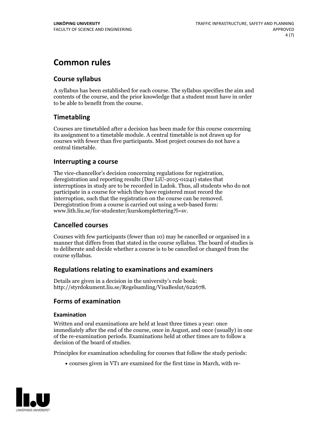# **Common rules**

### **Course syllabus**

A syllabus has been established for each course. The syllabus specifies the aim and contents of the course, and the prior knowledge that a student must have in order to be able to benefit from the course.

### **Timetabling**

Courses are timetabled after a decision has been made for this course concerning its assignment to a timetable module. A central timetable is not drawn up for courses with fewer than five participants. Most project courses do not have a central timetable.

### **Interrupting a course**

The vice-chancellor's decision concerning regulations for registration, deregistration and reporting results (Dnr LiU-2015-01241) states that interruptions in study are to be recorded in Ladok. Thus, all students who do not participate in a course for which they have registered must record the interruption, such that the registration on the course can be removed. Deregistration from <sup>a</sup> course is carried outusing <sup>a</sup> web-based form: www.lith.liu.se/for-studenter/kurskomplettering?l=sv.

### **Cancelled courses**

Courses with few participants (fewer than 10) may be cancelled or organised in a manner that differs from that stated in the course syllabus. The board of studies is to deliberate and decide whether a course is to be cancelled orchanged from the course syllabus.

### **Regulations relatingto examinations and examiners**

Details are given in a decision in the university's rule book: http://styrdokument.liu.se/Regelsamling/VisaBeslut/622678.

### **Forms of examination**

### **Examination**

Written and oral examinations are held at least three times a year: once immediately after the end of the course, once in August, and once (usually) in one of the re-examination periods. Examinations held at other times are to follow a decision of the board of studies.

Principles for examination scheduling for courses that follow the study periods:

courses given in VT1 are examined for the first time in March, with re-

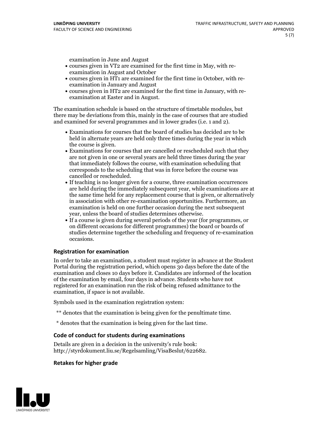examination in June and August

- courses given in VT2 are examined for the first time in May, with re-examination in August and October
- courses given in HT1 are examined for the first time in October, with re-examination in January and August
- courses given in HT2 are examined for the first time in January, with re-examination at Easter and in August.

The examination schedule is based on the structure of timetable modules, but there may be deviations from this, mainly in the case of courses that are studied and examined for several programmes and in lower grades (i.e. 1 and 2).

- Examinations for courses that the board of studies has decided are to be held in alternate years are held only three times during the year in which
- the course is given.<br>• Examinations for courses that are cancelled or rescheduled such that they are not given in one or several years are held three times during the year that immediately follows the course, with examination scheduling that corresponds to the scheduling that was in force before the course was cancelled or rescheduled.<br>• If teaching is no longer given for a course, three examination occurrences
- are held during the immediately subsequent year, while examinations are at the same time held for any replacement course that is given, or alternatively in association with other re-examination opportunities. Furthermore, an examination is held on one further occasion during the next subsequent year, unless the board of studies determines otherwise.<br>• If a course is given during several periods of the year (for programmes, or
- on different occasions for different programmes) the board orboards of studies determine together the scheduling and frequency of re-examination occasions.

#### **Registration for examination**

In order to take an examination, a student must register in advance at the Student Portal during the registration period, which opens 30 days before the date of the examination and closes 10 days before it. Candidates are informed of the location of the examination by email, four days in advance. Students who have not registered for an examination run the risk of being refused admittance to the examination, if space is not available.

Symbols used in the examination registration system:

- \*\* denotes that the examination is being given for the penultimate time.
- \* denotes that the examination is being given for the last time.

#### **Code of conduct for students during examinations**

Details are given in a decision in the university's rule book: http://styrdokument.liu.se/Regelsamling/VisaBeslut/622682.

#### **Retakes for higher grade**

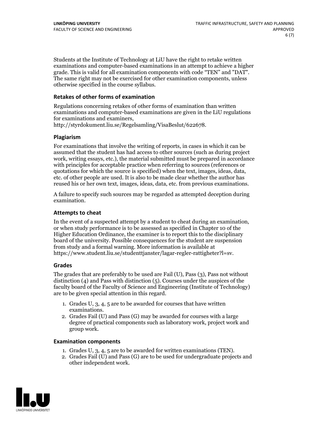Students at the Institute of Technology at LiU have the right to retake written examinations and computer-based examinations in an attempt to achieve a higher grade. This is valid for all examination components with code "TEN" and "DAT". The same right may not be exercised for other examination components, unless otherwise specified in the course syllabus.

### **Retakes of other forms of examination**

Regulations concerning retakes of other forms of examination than written examinations and computer-based examinations are given in the LiU regulations

http://styrdokument.liu.se/Regelsamling/VisaBeslut/622678.

#### **Plagiarism**

For examinations that involve the writing of reports, in cases in which it can be assumed that the student has had access to other sources (such as during project work, writing essays, etc.), the material submitted must be prepared in accordance with principles for acceptable practice when referring to sources (references or quotations for which the source is specified) when the text, images, ideas, data, etc. of other people are used. It is also to be made clear whether the author has reused his or her own text, images, ideas, data, etc. from previous examinations.

A failure to specify such sources may be regarded as attempted deception during examination.

#### **Attempts to cheat**

In the event of <sup>a</sup> suspected attempt by <sup>a</sup> student to cheat during an examination, or when study performance is to be assessed as specified in Chapter <sup>10</sup> of the Higher Education Ordinance, the examiner is to report this to the disciplinary board of the university. Possible consequences for the student are suspension from study and a formal warning. More information is available at https://www.student.liu.se/studenttjanster/lagar-regler-rattigheter?l=sv.

#### **Grades**

The grades that are preferably to be used are Fail (U), Pass (3), Pass not without distinction  $(4)$  and Pass with distinction  $(5)$ . Courses under the auspices of the faculty board of the Faculty of Science and Engineering (Institute of Technology) are to be given special attention in this regard.

- 1. Grades U, 3, 4, 5 are to be awarded for courses that have written
- examinations. 2. Grades Fail (U) and Pass (G) may be awarded for courses with <sup>a</sup> large degree of practical components such as laboratory work, project work and group work.

#### **Examination components**

- 
- 1. Grades U, 3, 4, <sup>5</sup> are to be awarded for written examinations (TEN). 2. Grades Fail (U) and Pass (G) are to be used for undergraduate projects and other independent work.